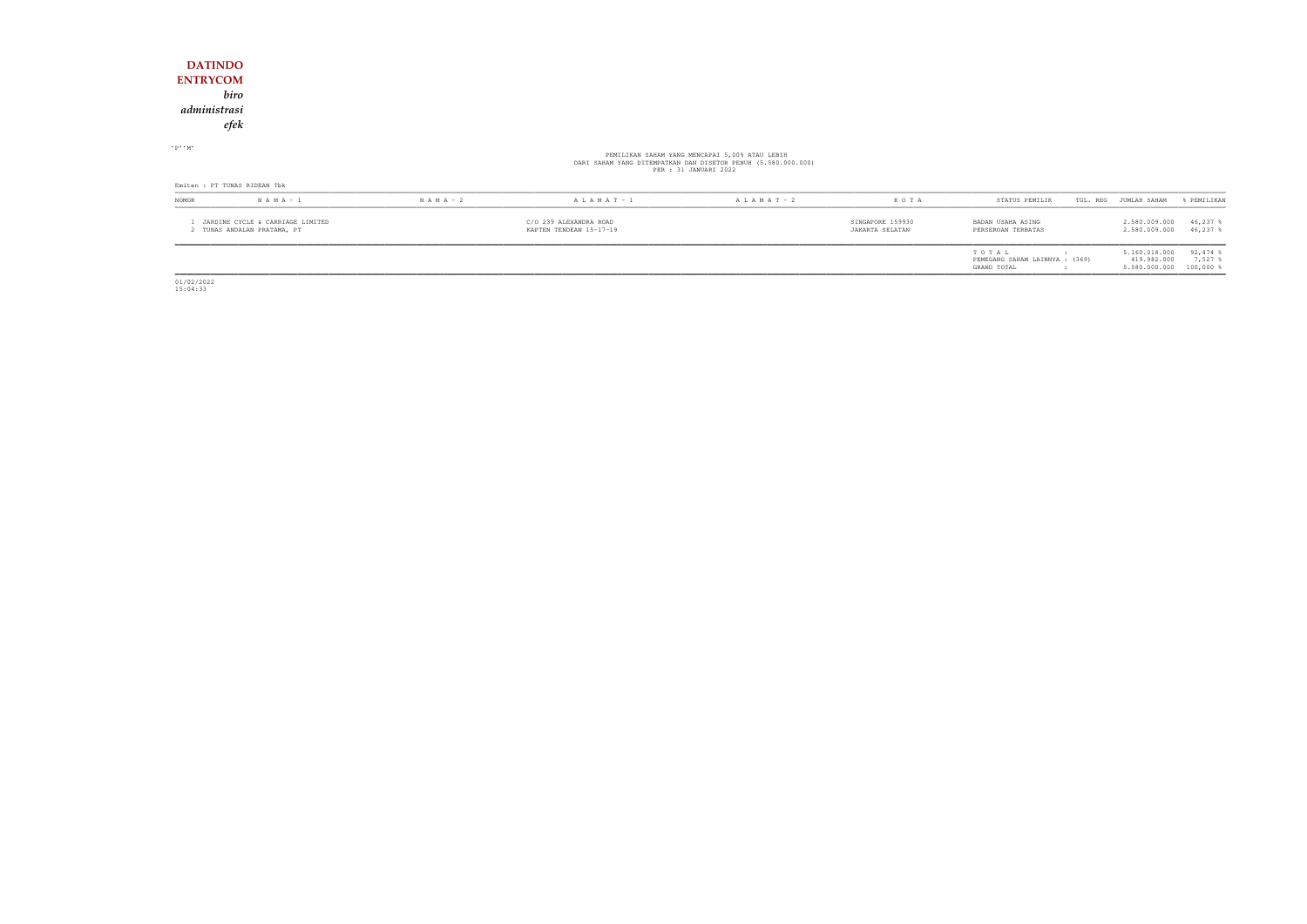| <b>DATINDO</b><br><b>ENTRYCOM</b><br>administrasi<br>$\cdot$ P $\cdot$ M $\cdot$ | biro<br>efek                                                  |               |                                                   |                                                                                                                                          |                                     |                                         |                                |                          |
|----------------------------------------------------------------------------------|---------------------------------------------------------------|---------------|---------------------------------------------------|------------------------------------------------------------------------------------------------------------------------------------------|-------------------------------------|-----------------------------------------|--------------------------------|--------------------------|
|                                                                                  |                                                               |               |                                                   | PEMILIKAN SAHAM YANG MENCAPAI 5,00% ATAU LEBIH<br>DARI SAHAM YANG DITEMPATKAN DAN DISETOR PENUH (5.580.000.000)<br>PER : 31 JANUARI 2022 |                                     |                                         |                                |                          |
|                                                                                  | Emiten : PT TUNAS RIDEAN Tbk                                  |               |                                                   |                                                                                                                                          |                                     |                                         |                                |                          |
| NOMOR                                                                            | $N A M A - 1$                                                 | $N A M A - 2$ | $A L A M A T - 1$                                 | $A L A M A T - 2$                                                                                                                        | KOTA                                | STATUS PEMILIK                          | TGL. REG JUMLAH SAHAM          | % PEMILIKAN              |
|                                                                                  | JARDINE CYCLE & CARRIAGE LIMITED<br>TUNAS ANDALAN PRATAMA, PT |               | C/O 239 ALEXANDRA ROAD<br>KAPTEN TENDEAN 15-17-19 |                                                                                                                                          | SINGAPORE 159930<br>JAKARTA SELATAN | BADAN USAHA ASING<br>PERSEROAN TERBATAS | 2.580.009.000<br>2.580.009.000 | $46,237$ %<br>$46,237$ % |

| STATUS PEMILIK                                         | TGL. REG | JUMLAH SAHAM                                  | % PEMILIKAN                                 |
|--------------------------------------------------------|----------|-----------------------------------------------|---------------------------------------------|
| BADAN USAHA ASING<br>PERSEROAN TERBATAS                |          | 2.580.009.000<br>2.580.009.000                | $46,237$ &<br>$46.237$ \$                   |
| TOTAL<br>PEMEGANG SAHAM LAINNYA : (369)<br>GRAND TOTAL | ٠<br>٠   | 5.160.018.000<br>419.982.000<br>5.580.000.000 | $92,474$ $\$$<br>$7.527$ $%$<br>$100,000$ % |

01/02/2022 15:04:33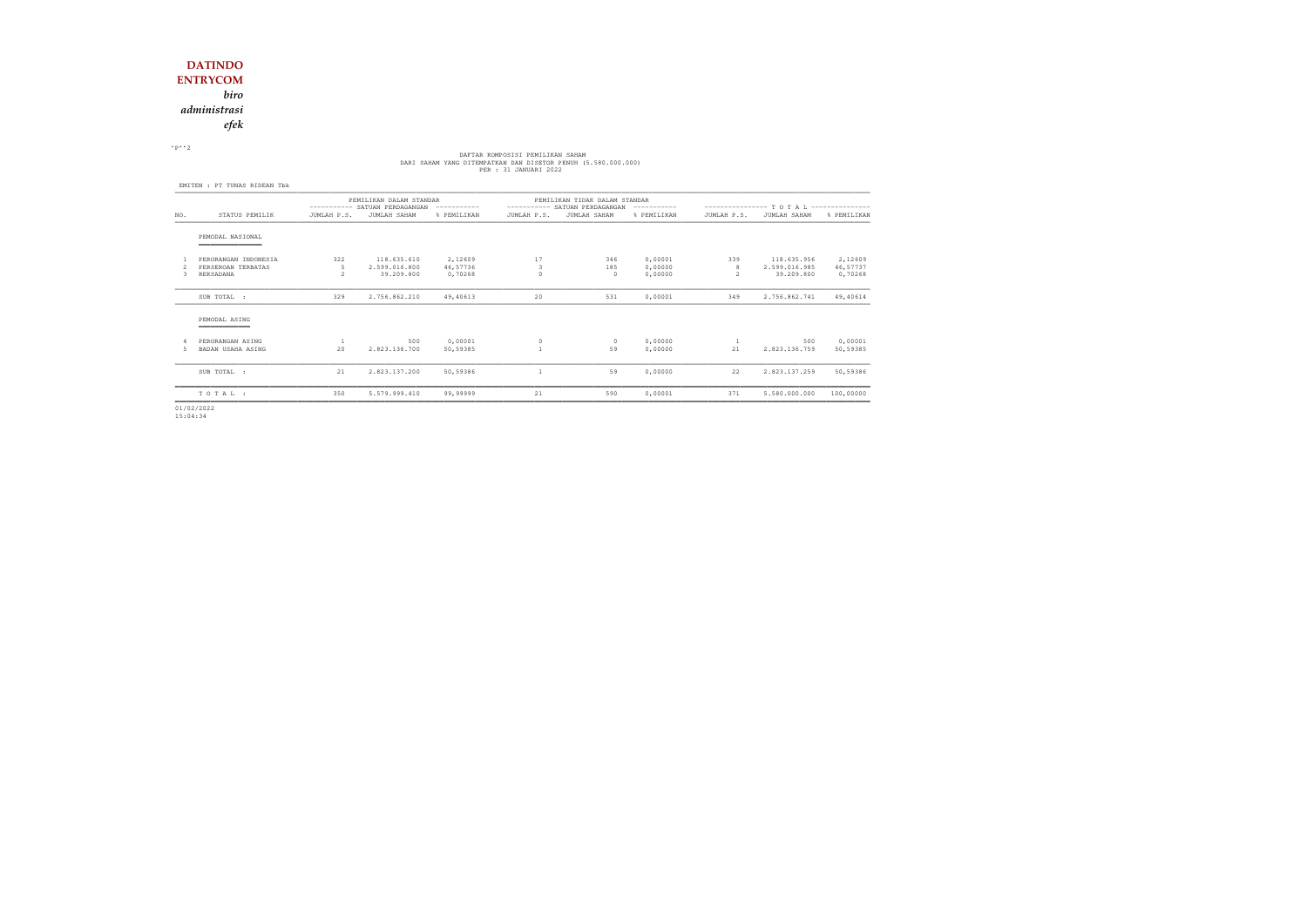*efek*

 $\cdot$  P $\cdot$  2

# DAFTAR KOMPOSISI PEMILIKAN SAHAM<br>DARI SAHAM YANG DITEMPATKAN DAN DISETOR PENUH (5.580.000.000)<br>PER : 31 JANUARI 2022

|     |                                            | PEMILIKAN DALAM STANDAR<br>---------- SATUAN PERDAGANGAN<br>----------- |                              |                     | -----------  | PEMILIKAN TIDAK DALAM STANDAR<br>SATUAN PERDAGANGAN |                    | ---------------- T O T A L --------------- |                              |                     |  |
|-----|--------------------------------------------|-------------------------------------------------------------------------|------------------------------|---------------------|--------------|-----------------------------------------------------|--------------------|--------------------------------------------|------------------------------|---------------------|--|
| NO. | STATUS PEMILIK                             | JUMLAH P.S.                                                             | JUMLAH SAHAM                 | % PEMILIKAN         | JUMLAH P.S.  | JUMLAH SAHAM                                        | % PEMILIKAN        | JUMLAH P.S.                                | JUMLAH SAHAM                 | % PEMILIKAN         |  |
|     | PEMODAL NASIONAL<br>___________            |                                                                         |                              |                     |              |                                                     |                    |                                            |                              |                     |  |
|     | PERORANGAN INDONESIA<br>PERSEROAN TERBATAS | 322<br>.5                                                               | 118.635.610<br>2.599.016.800 | 2,12609<br>46,57736 | 17<br>3      | 346<br>185                                          | 0,00001<br>0,00000 | 339<br>8                                   | 118.635.956<br>2.599.016.985 | 2,12609<br>46,57737 |  |
| २   | REKSADANA                                  | $\overline{\mathcal{L}}$                                                | 39.209.800                   | 0,70268             |              | $\Omega$                                            | 0.00000            | $\overline{2}$                             | 39.209.800                   | 0,70268             |  |
|     | SUB TOTAL :                                | 329                                                                     | 2.756.862.210                | 49,40613            | 20           | 531                                                 | 0,00001            | 349                                        | 2.756.862.741                | 49,40614            |  |
|     | PEMODAL ASING                              |                                                                         |                              |                     |              |                                                     |                    |                                            |                              |                     |  |
| .5. | PERORANGAN ASING<br>BADAN USAHA ASING      | 20                                                                      | 500<br>2.823.136.700         | 0,00001<br>50,59385 | $\circ$      | $\Omega$<br>59                                      | 0,00000<br>0.00000 | 21                                         | 500<br>2.823.136.759         | 0,00001<br>50,59385 |  |
|     | SUB TOTAL :                                | 21                                                                      | 2.823.137.200                | 50,59386            | $\mathbf{1}$ | 59                                                  | 0,00000            | 22                                         | 2.823.137.259                | 50,59386            |  |
|     | TOTAL:                                     | 350                                                                     | 5.579.999.410                | 99,99999            | 21           | 590                                                 | 0,00001            | 371                                        | 5.580.000.000                | 100,00000           |  |

01/02/2022 15:04:34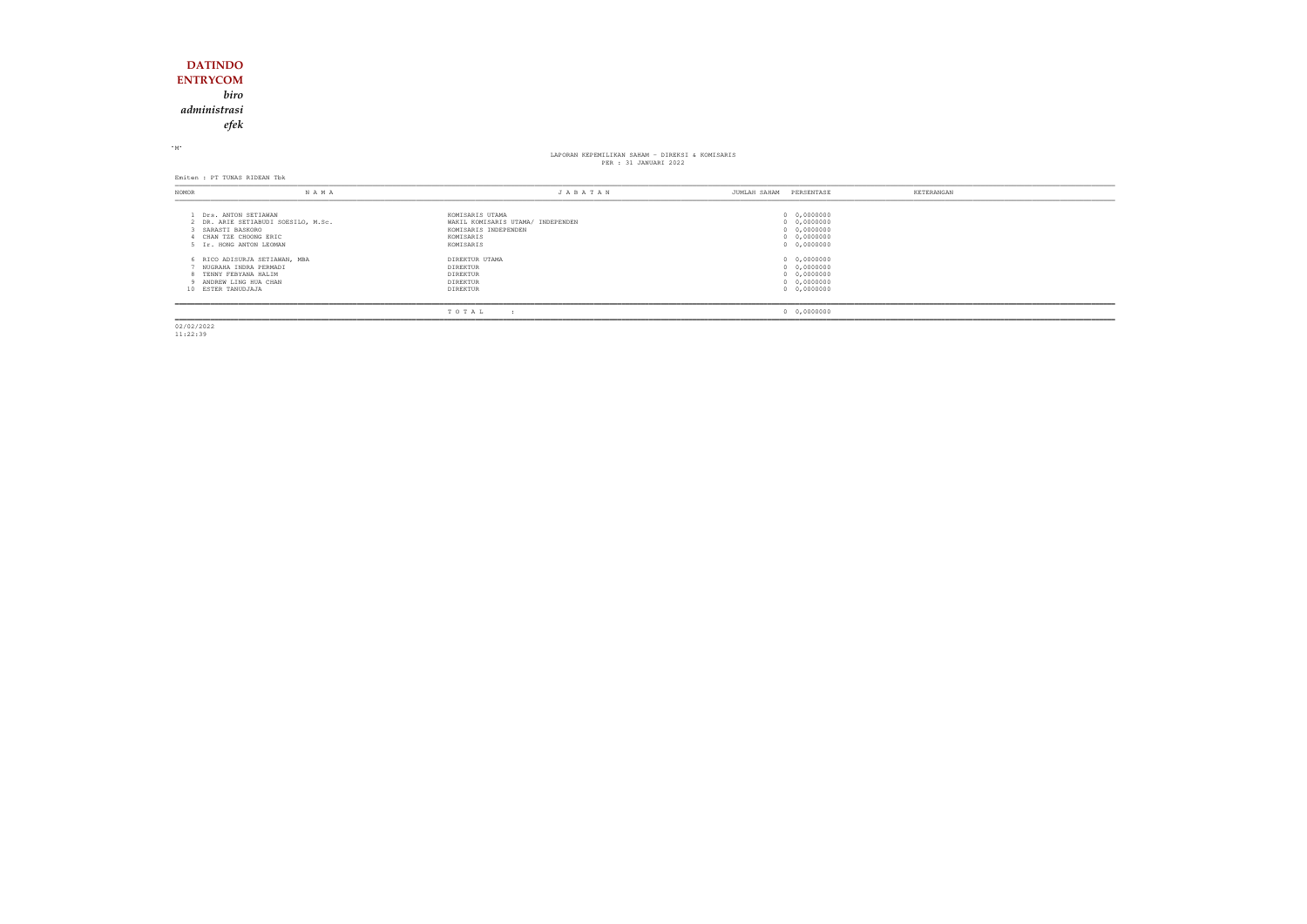### **DATINDO ENTRYCOM** *biroadministrasi*

*efek*

 $M$ 

## LAPORAN KEPEMILIKAN SAHAM - DIREKSI & KOMISARIS PER : 31 JANUARI 2022

Emiten : PT TUNAS RIDEAN Tbk

| NOMOR                                                                                        | NAMA                                | JABATAN                                                                                                | JUMLAH SAHAM | PERSENTASE                                                              | KETERANGAN |
|----------------------------------------------------------------------------------------------|-------------------------------------|--------------------------------------------------------------------------------------------------------|--------------|-------------------------------------------------------------------------|------------|
| Drs. ANTON SETIAWAN<br>SARASTI BASKORO<br>CHAN TZE CHOONG ERIC<br>5 Ir. HONG ANTON LEOMAN    | 2 DR. ARIE SETIABUDI SOESILO, M.Sc. | KOMISARIS UTAMA<br>WAKIL KOMISARIS UTAMA/ INDEPENDEN<br>KOMISARIS INDEPENDEN<br>KOMISARIS<br>KOMISARIS |              | 0 0,0000000<br>0 0,0000000<br>0 0,0000000<br>0 0,0000000<br>0 0,0000000 |            |
| NUGRAHA INDRA PERMADI<br>TENNY FEBYANA HALIM<br>9 ANDREW LING HUA CHAN<br>10 ESTER TANUDJAJA | 6 RICO ADISURJA SETIAWAN, MBA       | DIREKTUR UTAMA<br>DIREKTUR<br><b>DIREKTUR</b><br>DIREKTUR<br>DIREKTUR                                  |              | 0 0,0000000<br>0 0,0000000<br>0 0,0000000<br>0 0,0000000<br>0 0,0000000 |            |
|                                                                                              |                                     | TOTAL                                                                                                  |              | 0 0,0000000                                                             |            |

02/02/2022 11:22:39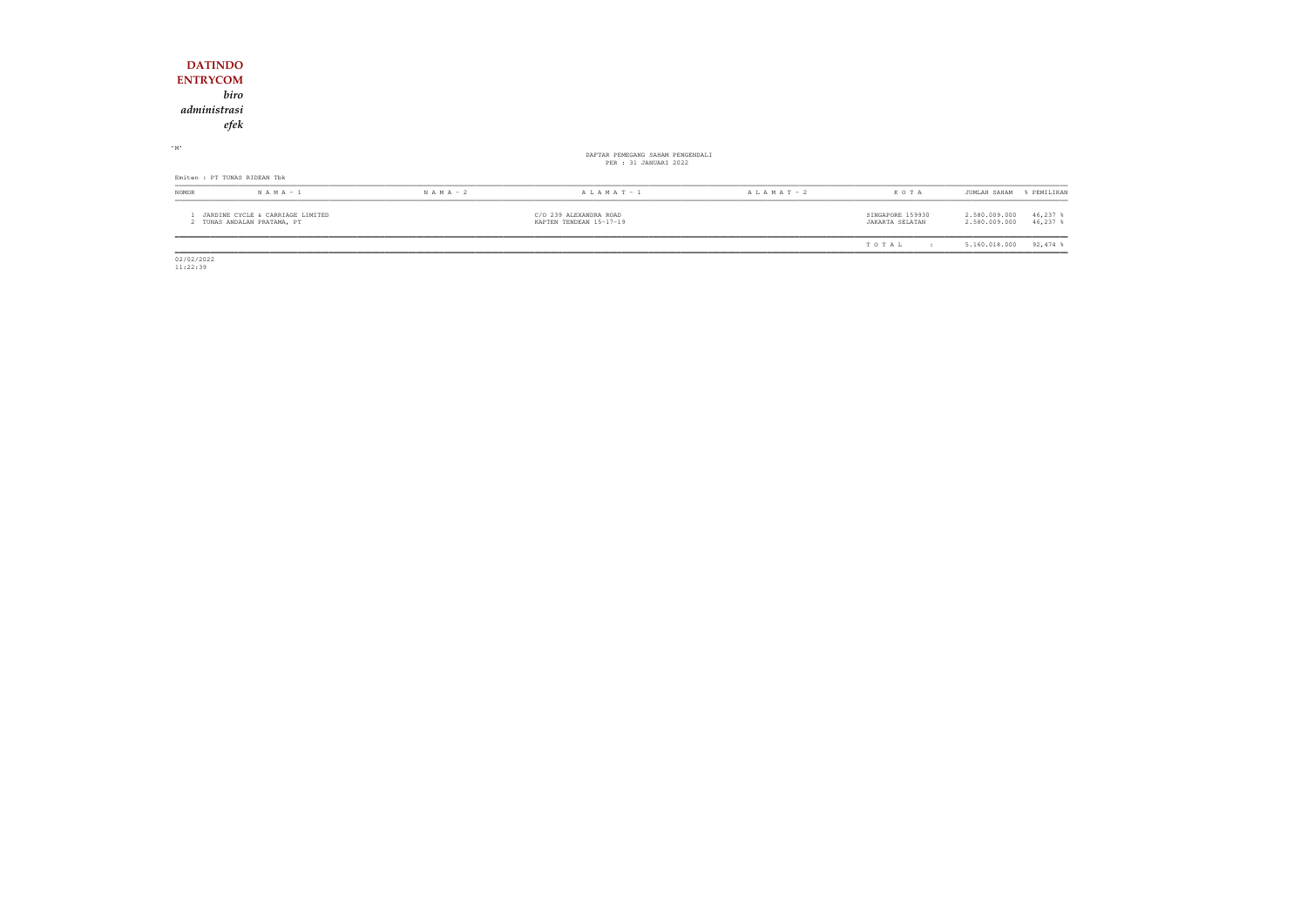| <b>DATINDO</b><br><b>ENTRYCOM</b><br>biro<br>administrasi<br>efek |               |                                                           |                 |                                     |                                                            |
|-------------------------------------------------------------------|---------------|-----------------------------------------------------------|-----------------|-------------------------------------|------------------------------------------------------------|
| $-M$                                                              |               | DAFTAR PEMEGANG SAHAM PENGENDALI<br>PER : 31 JANUARI 2022 |                 |                                     |                                                            |
| Emiten : PT TUNAS RIDEAN Tbk                                      |               |                                                           |                 |                                     |                                                            |
| NOMOR<br>$N A M A - 1$                                            | $N A M A - 2$ | $A L A M A T - 1$                                         | A L A M A T - 2 | KOTA                                | JUMLAH SAHAM<br>% PEMILIKAN                                |
| JARDINE CYCLE & CARRIAGE LIMITED<br>2 TUNAS ANDALAN PRATAMA, PT   |               | C/O 239 ALEXANDRA ROAD<br>KAPTEN TENDEAN 15-17-19         |                 | SINGAPORE 159930<br>JAKARTA SELATAN | 2.580.009.000<br>$46,237$ %<br>2.580.009.000<br>$46,237$ % |
|                                                                   |               |                                                           |                 | TOTAL<br>$\mathbf{r}$               | $92,474$ %<br>5.160.018.000                                |

 $\begin{array}{c} 02/02/2022 \\ 11:22:39 \end{array}$